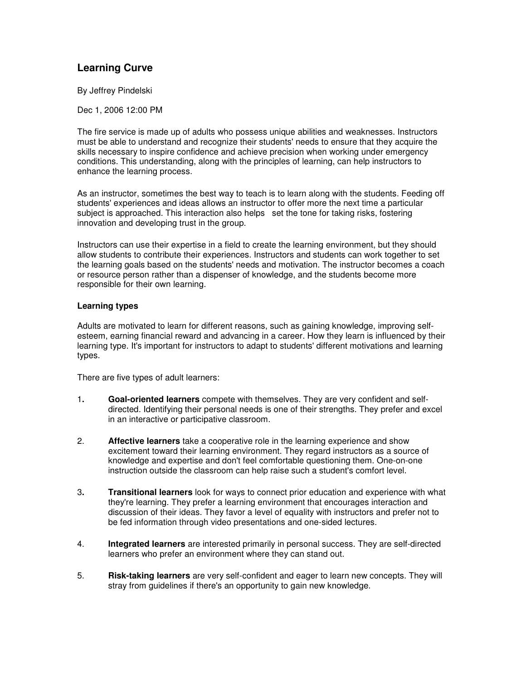## **Learning Curve**

By Jeffrey Pindelski

Dec 1, 2006 12:00 PM

The fire service is made up of adults who possess unique abilities and weaknesses. Instructors must be able to understand and recognize their students' needs to ensure that they acquire the skills necessary to inspire confidence and achieve precision when working under emergency conditions. This understanding, along with the principles of learning, can help instructors to enhance the learning process.

As an instructor, sometimes the best way to teach is to learn along with the students. Feeding off students' experiences and ideas allows an instructor to offer more the next time a particular subject is approached. This interaction also helps set the tone for taking risks, fostering innovation and developing trust in the group.

Instructors can use their expertise in a field to create the learning environment, but they should allow students to contribute their experiences. Instructors and students can work together to set the learning goals based on the students' needs and motivation. The instructor becomes a coach or resource person rather than a dispenser of knowledge, and the students become more responsible for their own learning.

## **Learning types**

Adults are motivated to learn for different reasons, such as gaining knowledge, improving selfesteem, earning financial reward and advancing in a career. How they learn is influenced by their learning type. It's important for instructors to adapt to students' different motivations and learning types.

There are five types of adult learners:

- 1**. Goal-oriented learners** compete with themselves. They are very confident and selfdirected. Identifying their personal needs is one of their strengths. They prefer and excel in an interactive or participative classroom.
- 2. **Affective learners** take a cooperative role in the learning experience and show excitement toward their learning environment. They regard instructors as a source of knowledge and expertise and don't feel comfortable questioning them. One-on-one instruction outside the classroom can help raise such a student's comfort level.
- 3**. Transitional learners** look for ways to connect prior education and experience with what they're learning. They prefer a learning environment that encourages interaction and discussion of their ideas. They favor a level of equality with instructors and prefer not to be fed information through video presentations and one-sided lectures.
- 4. **Integrated learners** are interested primarily in personal success. They are self-directed learners who prefer an environment where they can stand out.
- 5. **Risk-taking learners** are very self-confident and eager to learn new concepts. They will stray from guidelines if there's an opportunity to gain new knowledge.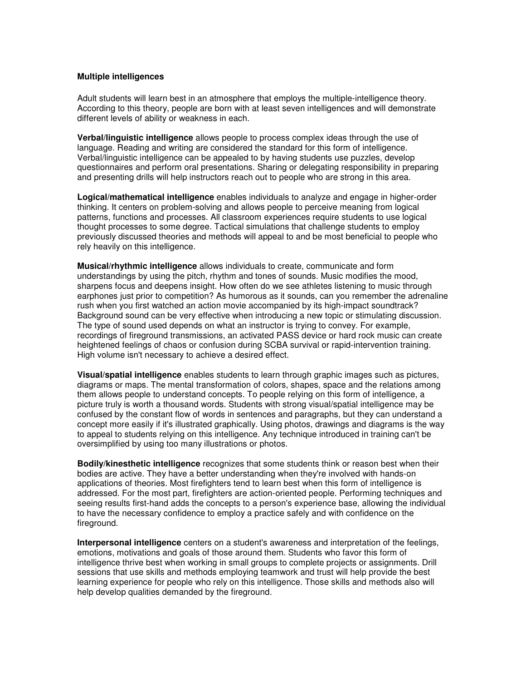## **Multiple intelligences**

Adult students will learn best in an atmosphere that employs the multiple-intelligence theory. According to this theory, people are born with at least seven intelligences and will demonstrate different levels of ability or weakness in each.

**Verbal/linguistic intelligence** allows people to process complex ideas through the use of language. Reading and writing are considered the standard for this form of intelligence. Verbal/linguistic intelligence can be appealed to by having students use puzzles, develop questionnaires and perform oral presentations. Sharing or delegating responsibility in preparing and presenting drills will help instructors reach out to people who are strong in this area.

**Logical/mathematical intelligence** enables individuals to analyze and engage in higher-order thinking. It centers on problem-solving and allows people to perceive meaning from logical patterns, functions and processes. All classroom experiences require students to use logical thought processes to some degree. Tactical simulations that challenge students to employ previously discussed theories and methods will appeal to and be most beneficial to people who rely heavily on this intelligence.

**Musical/rhythmic intelligence** allows individuals to create, communicate and form understandings by using the pitch, rhythm and tones of sounds. Music modifies the mood, sharpens focus and deepens insight. How often do we see athletes listening to music through earphones just prior to competition? As humorous as it sounds, can you remember the adrenaline rush when you first watched an action movie accompanied by its high-impact soundtrack? Background sound can be very effective when introducing a new topic or stimulating discussion. The type of sound used depends on what an instructor is trying to convey. For example, recordings of fireground transmissions, an activated PASS device or hard rock music can create heightened feelings of chaos or confusion during SCBA survival or rapid-intervention training. High volume isn't necessary to achieve a desired effect.

**Visual/spatial intelligence** enables students to learn through graphic images such as pictures, diagrams or maps. The mental transformation of colors, shapes, space and the relations among them allows people to understand concepts. To people relying on this form of intelligence, a picture truly is worth a thousand words. Students with strong visual/spatial intelligence may be confused by the constant flow of words in sentences and paragraphs, but they can understand a concept more easily if it's illustrated graphically. Using photos, drawings and diagrams is the way to appeal to students relying on this intelligence. Any technique introduced in training can't be oversimplified by using too many illustrations or photos.

**Bodily/kinesthetic intelligence** recognizes that some students think or reason best when their bodies are active. They have a better understanding when they're involved with hands-on applications of theories. Most firefighters tend to learn best when this form of intelligence is addressed. For the most part, firefighters are action-oriented people. Performing techniques and seeing results first-hand adds the concepts to a person's experience base, allowing the individual to have the necessary confidence to employ a practice safely and with confidence on the fireground.

**Interpersonal intelligence** centers on a student's awareness and interpretation of the feelings, emotions, motivations and goals of those around them. Students who favor this form of intelligence thrive best when working in small groups to complete projects or assignments. Drill sessions that use skills and methods employing teamwork and trust will help provide the best learning experience for people who rely on this intelligence. Those skills and methods also will help develop qualities demanded by the fireground.